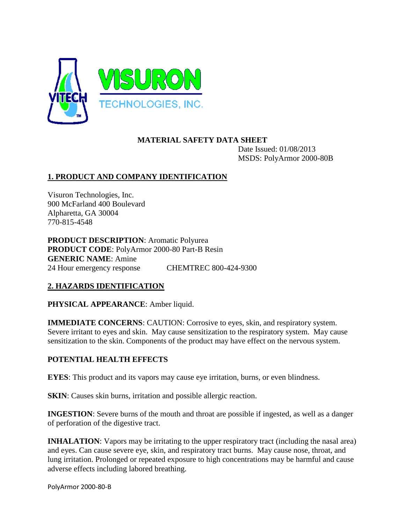

### **MATERIAL SAFETY DATA SHEET**

Date Issued: 01/08/2013 MSDS: PolyArmor 2000-80B

# **1. PRODUCT AND COMPANY IDENTIFICATION**

Visuron Technologies, Inc. 900 McFarland 400 Boulevard Alpharetta, GA 30004 770-815-4548

**PRODUCT DESCRIPTION**: Aromatic Polyurea **PRODUCT CODE**: PolyArmor 2000-80 Part-B Resin **GENERIC NAME**: Amine 24 Hour emergency response CHEMTREC 800-424-9300

# **2. HAZARDS IDENTIFICATION**

**PHYSICAL APPEARANCE**: Amber liquid.

**IMMEDIATE CONCERNS:** CAUTION: Corrosive to eyes, skin, and respiratory system. Severe irritant to eyes and skin. May cause sensitization to the respiratory system. May cause sensitization to the skin. Components of the product may have effect on the nervous system.

### **POTENTIAL HEALTH EFFECTS**

**EYES**: This product and its vapors may cause eye irritation, burns, or even blindness.

**SKIN**: Causes skin burns, irritation and possible allergic reaction.

**INGESTION:** Severe burns of the mouth and throat are possible if ingested, as well as a danger of perforation of the digestive tract.

**INHALATION:** Vapors may be irritating to the upper respiratory tract (including the nasal area) and eyes. Can cause severe eye, skin, and respiratory tract burns. May cause nose, throat, and lung irritation. Prolonged or repeated exposure to high concentrations may be harmful and cause adverse effects including labored breathing.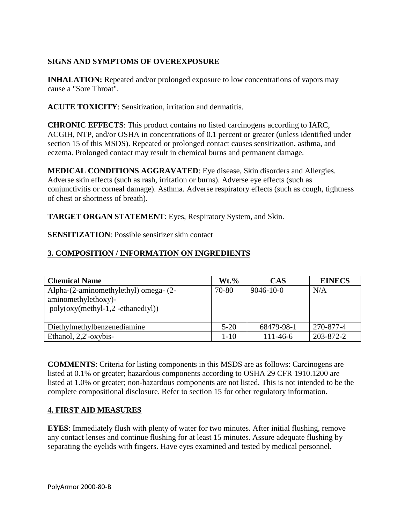### **SIGNS AND SYMPTOMS OF OVEREXPOSURE**

**INHALATION:** Repeated and/or prolonged exposure to low concentrations of vapors may cause a "Sore Throat".

**ACUTE TOXICITY**: Sensitization, irritation and dermatitis.

**CHRONIC EFFECTS**: This product contains no listed carcinogens according to IARC, ACGIH, NTP, and/or OSHA in concentrations of 0.1 percent or greater (unless identified under section 15 of this MSDS). Repeated or prolonged contact causes sensitization, asthma, and eczema. Prolonged contact may result in chemical burns and permanent damage.

**MEDICAL CONDITIONS AGGRAVATED**: Eye disease, Skin disorders and Allergies. Adverse skin effects (such as rash, irritation or burns). Adverse eye effects (such as conjunctivitis or corneal damage). Asthma. Adverse respiratory effects (such as cough, tightness of chest or shortness of breath).

**TARGET ORGAN STATEMENT**: Eyes, Respiratory System, and Skin.

**SENSITIZATION:** Possible sensitizer skin contact

### **3. COMPOSITION / INFORMATION ON INGREDIENTS**

| <b>Chemical Name</b>                  | $Wt.$ %  | <b>CAS</b>      | <b>EINECS</b> |
|---------------------------------------|----------|-----------------|---------------|
| Alpha-(2-aminomethylethyl) omega- (2- | 70-80    | $9046 - 10 - 0$ | N/A           |
| aminomethylethoxy)-                   |          |                 |               |
| $poly(oxy(methyl-1,2-ethanediyl))$    |          |                 |               |
|                                       |          |                 |               |
| Diethylmethylbenzenediamine           | $5-20$   | 68479-98-1      | 270-877-4     |
| Ethanol, 2,2'-oxybis-                 | $1 - 10$ | $111 - 46 - 6$  | 203-872-2     |

**COMMENTS**: Criteria for listing components in this MSDS are as follows: Carcinogens are listed at 0.1% or greater; hazardous components according to OSHA 29 CFR 1910.1200 are listed at 1.0% or greater; non-hazardous components are not listed. This is not intended to be the complete compositional disclosure. Refer to section 15 for other regulatory information.

### **4. FIRST AID MEASURES**

**EYES**: Immediately flush with plenty of water for two minutes. After initial flushing, remove any contact lenses and continue flushing for at least 15 minutes. Assure adequate flushing by separating the eyelids with fingers. Have eyes examined and tested by medical personnel.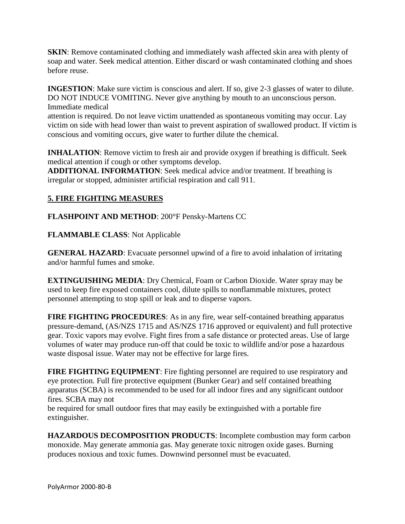**SKIN**: Remove contaminated clothing and immediately wash affected skin area with plenty of soap and water. Seek medical attention. Either discard or wash contaminated clothing and shoes before reuse.

**INGESTION**: Make sure victim is conscious and alert. If so, give 2-3 glasses of water to dilute. DO NOT INDUCE VOMITING. Never give anything by mouth to an unconscious person. Immediate medical

attention is required. Do not leave victim unattended as spontaneous vomiting may occur. Lay victim on side with head lower than waist to prevent aspiration of swallowed product. If victim is conscious and vomiting occurs, give water to further dilute the chemical.

**INHALATION**: Remove victim to fresh air and provide oxygen if breathing is difficult. Seek medical attention if cough or other symptoms develop.

**ADDITIONAL INFORMATION**: Seek medical advice and/or treatment. If breathing is irregular or stopped, administer artificial respiration and call 911.

# **5. FIRE FIGHTING MEASURES**

**FLASHPOINT AND METHOD**: 200°F Pensky-Martens CC

**FLAMMABLE CLASS**: Not Applicable

**GENERAL HAZARD:** Evacuate personnel upwind of a fire to avoid inhalation of irritating and/or harmful fumes and smoke.

**EXTINGUISHING MEDIA**: Dry Chemical, Foam or Carbon Dioxide. Water spray may be used to keep fire exposed containers cool, dilute spills to nonflammable mixtures, protect personnel attempting to stop spill or leak and to disperse vapors.

**FIRE FIGHTING PROCEDURES**: As in any fire, wear self-contained breathing apparatus pressure-demand, (AS/NZS 1715 and AS/NZS 1716 approved or equivalent) and full protective gear. Toxic vapors may evolve. Fight fires from a safe distance or protected areas. Use of large volumes of water may produce run-off that could be toxic to wildlife and/or pose a hazardous waste disposal issue. Water may not be effective for large fires.

**FIRE FIGHTING EQUIPMENT:** Fire fighting personnel are required to use respiratory and eye protection. Full fire protective equipment (Bunker Gear) and self contained breathing apparatus (SCBA) is recommended to be used for all indoor fires and any significant outdoor fires. SCBA may not

be required for small outdoor fires that may easily be extinguished with a portable fire extinguisher.

**HAZARDOUS DECOMPOSITION PRODUCTS**: Incomplete combustion may form carbon monoxide. May generate ammonia gas. May generate toxic nitrogen oxide gases. Burning produces noxious and toxic fumes. Downwind personnel must be evacuated.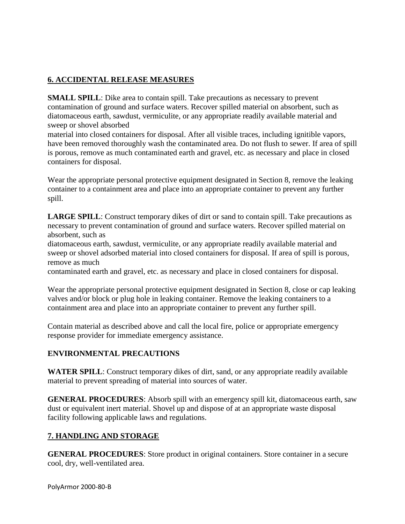# **6. ACCIDENTAL RELEASE MEASURES**

**SMALL SPILL**: Dike area to contain spill. Take precautions as necessary to prevent contamination of ground and surface waters. Recover spilled material on absorbent, such as diatomaceous earth, sawdust, vermiculite, or any appropriate readily available material and sweep or shovel absorbed

material into closed containers for disposal. After all visible traces, including ignitible vapors, have been removed thoroughly wash the contaminated area. Do not flush to sewer. If area of spill is porous, remove as much contaminated earth and gravel, etc. as necessary and place in closed containers for disposal.

Wear the appropriate personal protective equipment designated in Section 8, remove the leaking container to a containment area and place into an appropriate container to prevent any further spill.

**LARGE SPILL**: Construct temporary dikes of dirt or sand to contain spill. Take precautions as necessary to prevent contamination of ground and surface waters. Recover spilled material on absorbent, such as

diatomaceous earth, sawdust, vermiculite, or any appropriate readily available material and sweep or shovel adsorbed material into closed containers for disposal. If area of spill is porous, remove as much

contaminated earth and gravel, etc. as necessary and place in closed containers for disposal.

Wear the appropriate personal protective equipment designated in Section 8, close or cap leaking valves and/or block or plug hole in leaking container. Remove the leaking containers to a containment area and place into an appropriate container to prevent any further spill.

Contain material as described above and call the local fire, police or appropriate emergency response provider for immediate emergency assistance.

### **ENVIRONMENTAL PRECAUTIONS**

**WATER SPILL**: Construct temporary dikes of dirt, sand, or any appropriate readily available material to prevent spreading of material into sources of water.

**GENERAL PROCEDURES:** Absorb spill with an emergency spill kit, diatomaceous earth, saw dust or equivalent inert material. Shovel up and dispose of at an appropriate waste disposal facility following applicable laws and regulations.

# **7. HANDLING AND STORAGE**

**GENERAL PROCEDURES**: Store product in original containers. Store container in a secure cool, dry, well-ventilated area.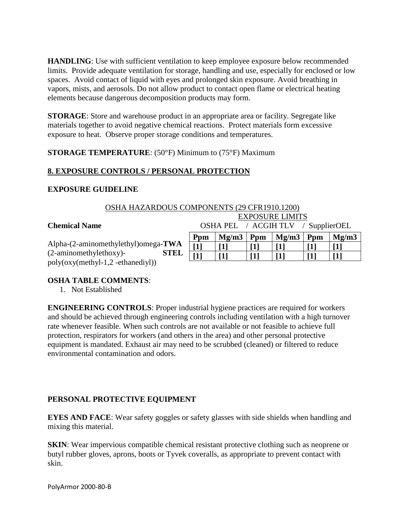**HANDLING**: Use with sufficient ventilation to keep employee exposure below recommended limits. Provide adequate ventilation for storage, handling and use, especially for enclosed or low spaces. Avoid contact of liquid with eyes and prolonged skin exposure. Avoid breathing in vapors, mists, and aerosols. Do not allow product to contact open flame or electrical heating elements because dangerous decomposition products may form.

**STORAGE**: Store and warehouse product in an appropriate area or facility. Segregate like materials together to avoid negative chemical reactions. Protect materials form excessive exposure to heat. Observe proper storage conditions and temperatures.

**STORAGE TEMPERATURE**: (50°F) Minimum to (75°F) Maximum

# **8. EXPOSURE CONTROLS / PERSONAL PROTECTION**

### **EXPOSURE GUIDELINE**

| OSHA HAZARDOUS COMPONENTS (29 CFR1910.1200)                               |                        |                                    |     |       |     |       |
|---------------------------------------------------------------------------|------------------------|------------------------------------|-----|-------|-----|-------|
|                                                                           | <b>EXPOSURE LIMITS</b> |                                    |     |       |     |       |
| <b>Chemical Name</b>                                                      |                        | OSHA PEL / ACGIH TLV / SupplierOEL |     |       |     |       |
|                                                                           | Ppm                    | Mg/m3                              | Ppm | Mg/m3 | Ppm | Mg/m3 |
| Alpha-(2-aminomethylethyl)omega-TWA                                       | $\lceil 1 \rceil$      |                                    |     |       |     |       |
| (2-aminomethylethoxy)-<br><b>STEL</b><br>poly(oxy(methyl-1,2-ethanediyl)) |                        |                                    |     |       |     |       |

### **OSHA TABLE COMMENTS**:

1. Not Established

**ENGINEERING CONTROLS**: Proper industrial hygiene practices are required for workers and should be achieved through engineering controls including ventilation with a high turnover rate whenever feasible. When such controls are not available or not feasible to achieve full protection, respirators for workers (and others in the area) and other personal protective equipment is mandated. Exhaust air may need to be scrubbed (cleaned) or filtered to reduce environmental contamination and odors.

### **PERSONAL PROTECTIVE EQUIPMENT**

**EYES AND FACE**: Wear safety goggles or safety glasses with side shields when handling and mixing this material.

**SKIN**: Wear impervious compatible chemical resistant protective clothing such as neoprene or butyl rubber gloves, aprons, boots or Tyvek coveralls, as appropriate to prevent contact with skin.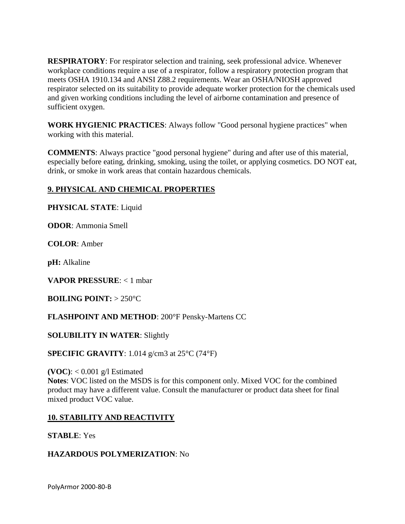**RESPIRATORY**: For respirator selection and training, seek professional advice. Whenever workplace conditions require a use of a respirator, follow a respiratory protection program that meets OSHA 1910.134 and ANSI Z88.2 requirements. Wear an OSHA/NIOSH approved respirator selected on its suitability to provide adequate worker protection for the chemicals used and given working conditions including the level of airborne contamination and presence of sufficient oxygen.

**WORK HYGIENIC PRACTICES**: Always follow "Good personal hygiene practices" when working with this material.

**COMMENTS**: Always practice "good personal hygiene" during and after use of this material, especially before eating, drinking, smoking, using the toilet, or applying cosmetics. DO NOT eat, drink, or smoke in work areas that contain hazardous chemicals.

# **9. PHYSICAL AND CHEMICAL PROPERTIES**

**PHYSICAL STATE**: Liquid

**ODOR**: Ammonia Smell

**COLOR**: Amber

**pH:** Alkaline

**VAPOR PRESSURE**: < 1 mbar

**BOILING POINT:** > 250°C

**FLASHPOINT AND METHOD**: 200°F Pensky-Martens CC

### **SOLUBILITY IN WATER**: Slightly

**SPECIFIC GRAVITY**: 1.014 g/cm3 at 25°C (74°F)

**(VOC)**: < 0.001 g/l Estimated

**Notes**: VOC listed on the MSDS is for this component only. Mixed VOC for the combined product may have a different value. Consult the manufacturer or product data sheet for final mixed product VOC value.

### **10. STABILITY AND REACTIVITY**

**STABLE**: Yes

### **HAZARDOUS POLYMERIZATION**: No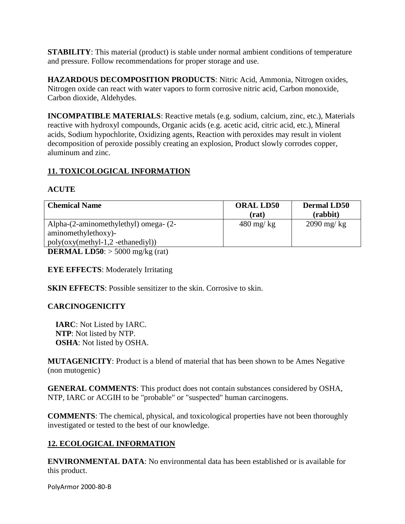**STABILITY:** This material (product) is stable under normal ambient conditions of temperature and pressure. Follow recommendations for proper storage and use.

**HAZARDOUS DECOMPOSITION PRODUCTS**: Nitric Acid, Ammonia, Nitrogen oxides, Nitrogen oxide can react with water vapors to form corrosive nitric acid, Carbon monoxide, Carbon dioxide, Aldehydes.

**INCOMPATIBLE MATERIALS**: Reactive metals (e.g. sodium, calcium, zinc, etc.), Materials reactive with hydroxyl compounds, Organic acids (e.g. acetic acid, citric acid, etc.), Mineral acids, Sodium hypochlorite, Oxidizing agents, Reaction with peroxides may result in violent decomposition of peroxide possibly creating an explosion, Product slowly corrodes copper, aluminum and zinc.

# **11. TOXICOLOGICAL INFORMATION**

### **ACUTE**

| <b>Chemical Name</b>                                                                   | <b>ORAL LD50</b><br>(rat) | <b>Dermal LD50</b><br>(rabbit) |
|----------------------------------------------------------------------------------------|---------------------------|--------------------------------|
| Alpha-(2-aminomethylethyl) omega- (2-                                                  | $480 \text{ mg/kg}$       | $2090$ mg/kg                   |
| aminomethylethoxy)-                                                                    |                           |                                |
| $poly(oxy(methyl-1,2-ethanediyl))$                                                     |                           |                                |
| <b>DEDMAI IDEA</b> $\rightarrow$ 5000 $\rightarrow$ 4 $\rightarrow$ ( $\rightarrow$ 6) |                           |                                |

**DERMAL LD50**:  $>$  5000 mg/kg (rat)

**EYE EFFECTS**: Moderately Irritating

**SKIN EFFECTS:** Possible sensitizer to the skin. Corrosive to skin.

### **CARCINOGENICITY**

 **IARC**: Not Listed by IARC. **NTP**: Not listed by NTP. **OSHA**: Not listed by OSHA.

**MUTAGENICITY**: Product is a blend of material that has been shown to be Ames Negative (non mutogenic)

**GENERAL COMMENTS**: This product does not contain substances considered by OSHA, NTP, IARC or ACGIH to be "probable" or "suspected" human carcinogens.

**COMMENTS**: The chemical, physical, and toxicological properties have not been thoroughly investigated or tested to the best of our knowledge.

# **12. ECOLOGICAL INFORMATION**

**ENVIRONMENTAL DATA**: No environmental data has been established or is available for this product.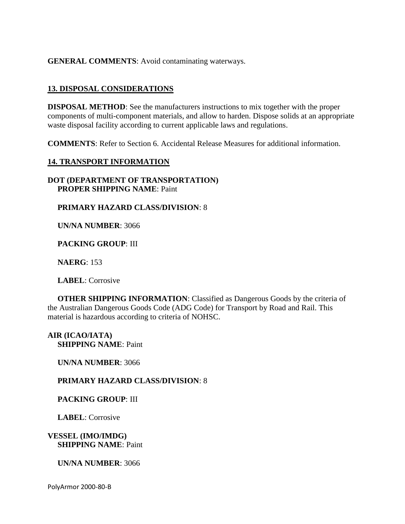**GENERAL COMMENTS**: Avoid contaminating waterways.

### **13. DISPOSAL CONSIDERATIONS**

**DISPOSAL METHOD**: See the manufacturers instructions to mix together with the proper components of multi-component materials, and allow to harden. Dispose solids at an appropriate waste disposal facility according to current applicable laws and regulations.

**COMMENTS**: Refer to Section 6. Accidental Release Measures for additional information.

### **14. TRANSPORT INFORMATION**

**DOT (DEPARTMENT OF TRANSPORTATION) PROPER SHIPPING NAME**: Paint

**PRIMARY HAZARD CLASS/DIVISION**: 8

 **UN/NA NUMBER**: 3066

 **PACKING GROUP**: III

 **NAERG**: 153

 **LABEL**: Corrosive

**OTHER SHIPPING INFORMATION:** Classified as Dangerous Goods by the criteria of the Australian Dangerous Goods Code (ADG Code) for Transport by Road and Rail. This material is hazardous according to criteria of NOHSC.

**AIR (ICAO/IATA) SHIPPING NAME**: Paint

 **UN/NA NUMBER**: 3066

 **PRIMARY HAZARD CLASS/DIVISION**: 8

 **PACKING GROUP**: III

 **LABEL**: Corrosive

**VESSEL (IMO/IMDG) SHIPPING NAME**: Paint

 **UN/NA NUMBER**: 3066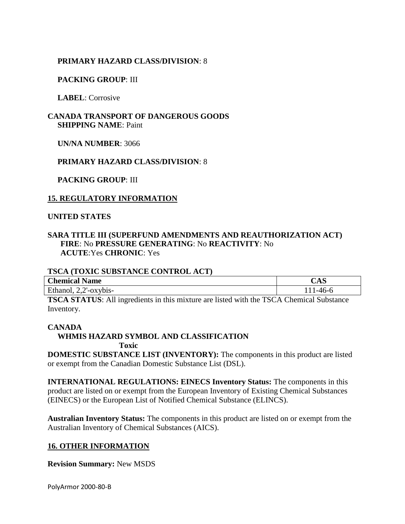### **PRIMARY HAZARD CLASS/DIVISION**: 8

### **PACKING GROUP**: III

 **LABEL**: Corrosive

### **CANADA TRANSPORT OF DANGEROUS GOODS SHIPPING NAME**: Paint

 **UN/NA NUMBER**: 3066

 **PRIMARY HAZARD CLASS/DIVISION**: 8

 **PACKING GROUP**: III

### **15. REGULATORY INFORMATION**

### **UNITED STATES**

### **SARA TITLE III (SUPERFUND AMENDMENTS AND REAUTHORIZATION ACT) FIRE**: No **PRESSURE GENERATING**: No **REACTIVITY**: No **ACUTE**:Yes **CHRONIC**: Yes

### **TSCA (TOXIC SUBSTANCE CONTROL ACT)**

| <b>Chemical</b>         | r               |
|-------------------------|-----------------|
| Name                    | $\mathcal{L}AD$ |
| m.                      | $-4$            |
| $\gamma$ $\gamma$ ybis- | $\mathbf{r}$    |
| Ethanol,                | $\cdot$         |

**TSCA STATUS**: All ingredients in this mixture are listed with the TSCA Chemical Substance Inventory.

### **CANADA**

# **WHMIS HAZARD SYMBOL AND CLASSIFICATION**

 **Toxic**

**DOMESTIC SUBSTANCE LIST (INVENTORY):** The components in this product are listed or exempt from the Canadian Domestic Substance List (DSL).

**INTERNATIONAL REGULATIONS: EINECS Inventory Status:** The components in this product are listed on or exempt from the European Inventory of Existing Chemical Substances (EINECS) or the European List of Notified Chemical Substance (ELINCS).

**Australian Inventory Status:** The components in this product are listed on or exempt from the Australian Inventory of Chemical Substances (AICS).

### **16. OTHER INFORMATION**

**Revision Summary:** New MSDS